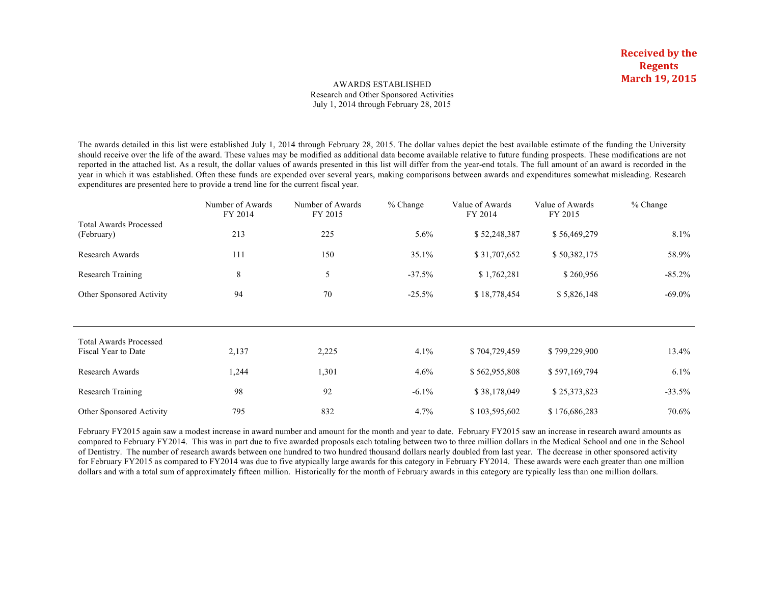#### AWARDS ESTABLISHED Research and Other Sponsored Activities July 1, 2014 through February 28, 2015

The awards detailed in this list were established July 1, 2014 through February 28, 2015. The dollar values depict the best available estimate of the funding the University should receive over the life of the award. These values may be modified as additional data become available relative to future funding prospects. These modifications are not reported in the attached list. As a result, the dollar values of awards presented in this list will differ from the year-end totals. The full amount of an award is recorded in the year in which it was established. Often these funds are expended over several years, making comparisons between awards and expenditures somewhat misleading. Research expenditures are presented here to provide a trend line for the current fiscal year.

|                                             | Number of Awards<br>FY 2014 | Number of Awards<br>FY 2015 | $%$ Change | Value of Awards<br>FY 2014 | Value of Awards<br>FY 2015 | % Change  |
|---------------------------------------------|-----------------------------|-----------------------------|------------|----------------------------|----------------------------|-----------|
| <b>Total Awards Processed</b><br>(February) | 213                         | 225                         | $5.6\%$    | \$52,248,387               | \$56,469,279               | $8.1\%$   |
| Research Awards                             | 111                         | 150                         | 35.1%      | \$31,707,652               | \$50,382,175               | 58.9%     |
| <b>Research Training</b>                    | 8                           | 5                           | $-37.5%$   | \$1,762,281                | \$260,956                  | $-85.2\%$ |
| Other Sponsored Activity                    | 94                          | 70                          | $-25.5%$   | \$18,778,454               | \$5,826,148                | $-69.0\%$ |
|                                             |                             |                             |            |                            |                            |           |
| <b>Total Awards Processed</b>               |                             |                             |            |                            |                            |           |
| Fiscal Year to Date                         | 2,137                       | 2,225                       | 4.1%       | \$704,729,459              | \$799,229,900              | 13.4%     |
| Research Awards                             | 1,244                       | 1,301                       | 4.6%       | \$562,955,808              | \$597,169,794              | $6.1\%$   |
| Research Training                           | 98                          | 92                          | $-6.1\%$   | \$38,178,049               | \$25,373,823               | $-33.5%$  |
| Other Sponsored Activity                    | 795                         | 832                         | 4.7%       | \$103,595,602              | \$176,686,283              | 70.6%     |

February FY2015 again saw a modest increase in award number and amount for the month and year to date. February FY2015 saw an increase in research award amounts as compared to February FY2014. This was in part due to five awarded proposals each totaling between two to three million dollars in the Medical School and one in the School of Dentistry. The number of research awards between one hundred to two hundred thousand dollars nearly doubled from last year. The decrease in other sponsored activity for February FY2015 as compared to FY2014 was due to five atypically large awards for this category in February FY2014. These awards were each greater than one million dollars and with a total sum of approximately fifteen million. Historically for the month of February awards in this category are typically less than one million dollars.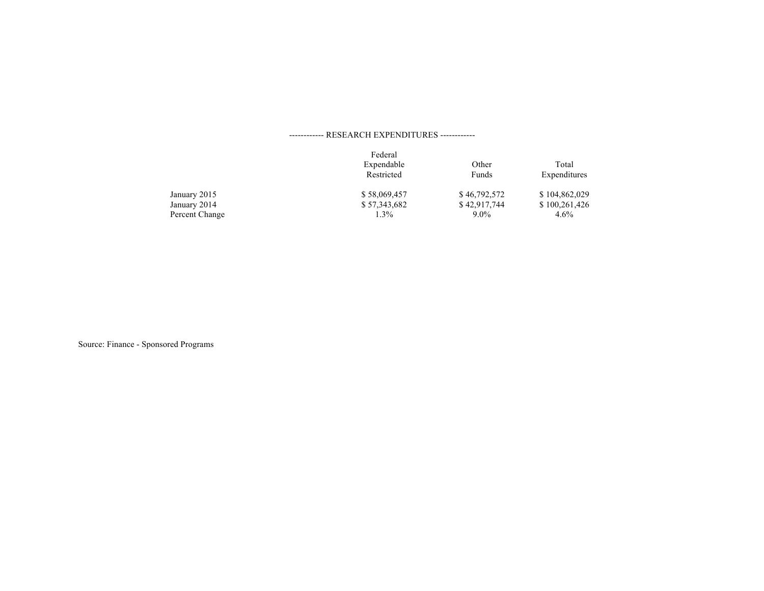## ------------ RESEARCH EXPENDITURES ------------

|                | Federal      |              |               |
|----------------|--------------|--------------|---------------|
|                | Expendable   | Other        | Total         |
|                | Restricted   | Funds        | Expenditures  |
| January 2015   | \$58,069,457 | \$46,792,572 | \$104,862,029 |
| January 2014   | \$57,343,682 | \$42,917,744 | \$100,261,426 |
| Percent Change | 1.3%         | $9.0\%$      | $4.6\%$       |

Source: Finance - Sponsored Programs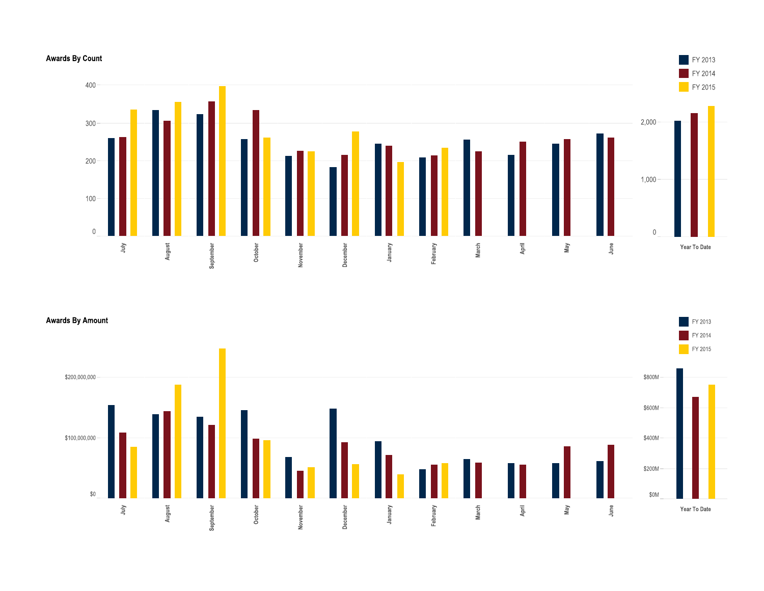## **Awards By Count**



FY 2013

**Awards By Amount** 

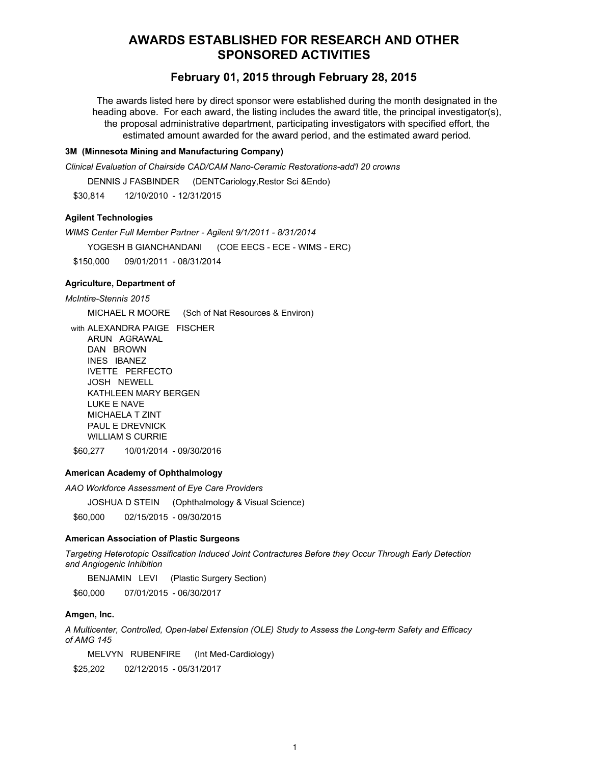# **AWARDS ESTABLISHED FOR RESEARCH AND OTHER SPONSORED ACTIVITIES**

# **February 01, 2015 through February 28, 2015**

The awards listed here by direct sponsor were established during the month designated in the heading above. For each award, the listing includes the award title, the principal investigator(s), the proposal administrative department, participating investigators with specified effort, the estimated amount awarded for the award period, and the estimated award period.

## **3M (Minnesota Mining and Manufacturing Company)**

*Clinical Evaluation of Chairside CAD/CAM Nano-Ceramic Restorations-add'l 20 crowns*

DENNIS J FASBINDER (DENTCariology,Restor Sci &Endo)

\$30,814 12/10/2010 - 12/31/2015

## **Agilent Technologies**

*WIMS Center Full Member Partner - Agilent 9/1/2011 - 8/31/2014* YOGESH B GIANCHANDANI (COE EECS - ECE - WIMS - ERC) \$150,000 09/01/2011 - 08/31/2014

### **Agriculture, Department of**

*McIntire-Stennis 2015*

MICHAEL R MOORE (Sch of Nat Resources & Environ)

with ALEXANDRA PAIGE FISCHER ARUN AGRAWAL DAN BROWN INES IBANEZ IVETTE PERFECTO JOSH NEWELL KATHLEEN MARY BERGEN LUKE E NAVE MICHAELA T ZINT PAUL E DREVNICK

WILLIAM S CURRIE

\$60,277 10/01/2014 - 09/30/2016

## **American Academy of Ophthalmology**

*AAO Workforce Assessment of Eye Care Providers*

JOSHUA D STEIN (Ophthalmology & Visual Science)

\$60,000 02/15/2015 - 09/30/2015

#### **American Association of Plastic Surgeons**

*Targeting Heterotopic Ossification Induced Joint Contractures Before they Occur Through Early Detection and Angiogenic Inhibition*

BENJAMIN LEVI (Plastic Surgery Section)

\$60,000 07/01/2015 - 06/30/2017

## **Amgen, Inc.**

*A Multicenter, Controlled, Open-label Extension (OLE) Study to Assess the Long-term Safety and Efficacy of AMG 145*

MELVYN RUBENFIRE (Int Med-Cardiology)

\$25,202 02/12/2015 - 05/31/2017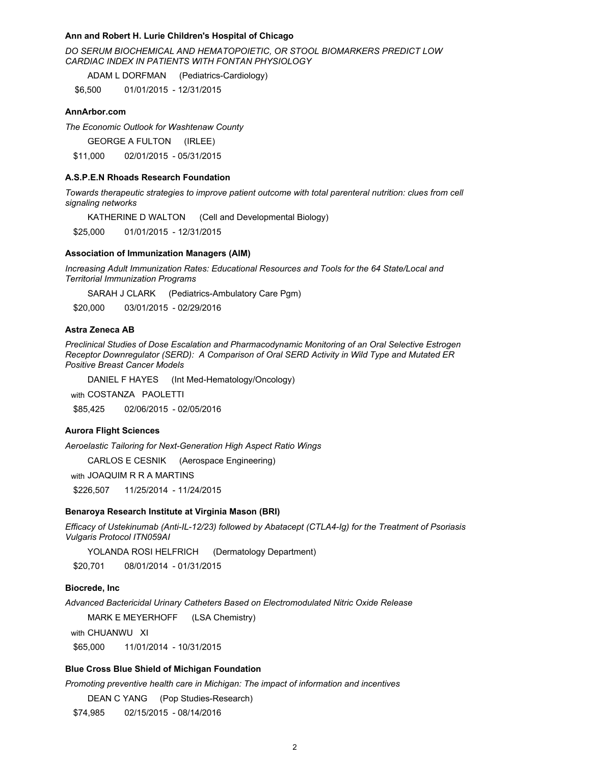#### **Ann and Robert H. Lurie Children's Hospital of Chicago**

*DO SERUM BIOCHEMICAL AND HEMATOPOIETIC, OR STOOL BIOMARKERS PREDICT LOW CARDIAC INDEX IN PATIENTS WITH FONTAN PHYSIOLOGY*

ADAM L DORFMAN (Pediatrics-Cardiology)

\$6,500 01/01/2015 - 12/31/2015

### **AnnArbor.com**

*The Economic Outlook for Washtenaw County*

GEORGE A FULTON (IRLEE)

\$11,000 02/01/2015 - 05/31/2015

#### **A.S.P.E.N Rhoads Research Foundation**

*Towards therapeutic strategies to improve patient outcome with total parenteral nutrition: clues from cell signaling networks*

KATHERINE D WALTON (Cell and Developmental Biology)

\$25,000 01/01/2015 - 12/31/2015

#### **Association of Immunization Managers (AIM)**

*Increasing Adult Immunization Rates: Educational Resources and Tools for the 64 State/Local and Territorial Immunization Programs*

SARAH J CLARK (Pediatrics-Ambulatory Care Pgm)

\$20,000 03/01/2015 - 02/29/2016

## **Astra Zeneca AB**

*Preclinical Studies of Dose Escalation and Pharmacodynamic Monitoring of an Oral Selective Estrogen Receptor Downregulator (SERD): A Comparison of Oral SERD Activity in Wild Type and Mutated ER Positive Breast Cancer Models*

DANIEL F HAYES (Int Med-Hematology/Oncology)

with COSTANZA PAOLETTI

\$85,425 02/06/2015 - 02/05/2016

## **Aurora Flight Sciences**

*Aeroelastic Tailoring for Next-Generation High Aspect Ratio Wings*

CARLOS E CESNIK (Aerospace Engineering)

with JOAQUIM R R A MARTINS

\$226,507 11/25/2014 - 11/24/2015

### **Benaroya Research Institute at Virginia Mason (BRI)**

*Efficacy of Ustekinumab (Anti-IL-12/23) followed by Abatacept (CTLA4-Ig) for the Treatment of Psoriasis Vulgaris Protocol ITN059AI* 

YOLANDA ROSI HELFRICH (Dermatology Department)

\$20,701 08/01/2014 - 01/31/2015

### **Biocrede, Inc**

*Advanced Bactericidal Urinary Catheters Based on Electromodulated Nitric Oxide Release*

MARK E MEYERHOFF (LSA Chemistry)

with CHUANWU XI

\$65,000 11/01/2014 - 10/31/2015

### **Blue Cross Blue Shield of Michigan Foundation**

*Promoting preventive health care in Michigan: The impact of information and incentives*

DEAN C YANG (Pop Studies-Research)

\$74,985 02/15/2015 - 08/14/2016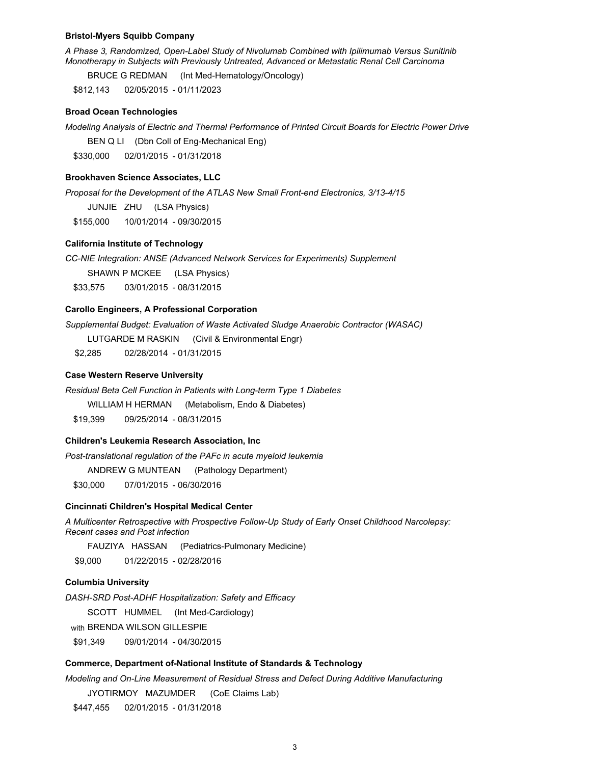#### **Bristol-Myers Squibb Company**

*A Phase 3, Randomized, Open-Label Study of Nivolumab Combined with Ipilimumab Versus Sunitinib Monotherapy in Subjects with Previously Untreated, Advanced or Metastatic Renal Cell Carcinoma*

BRUCE G REDMAN (Int Med-Hematology/Oncology)

\$812,143 02/05/2015 - 01/11/2023

#### **Broad Ocean Technologies**

*Modeling Analysis of Electric and Thermal Performance of Printed Circuit Boards for Electric Power Drive*

BEN Q LI (Dbn Coll of Eng-Mechanical Eng)

\$330,000 02/01/2015 - 01/31/2018

#### **Brookhaven Science Associates, LLC**

*Proposal for the Development of the ATLAS New Small Front-end Electronics, 3/13-4/15*

JUNJIE ZHU (LSA Physics)

\$155,000 10/01/2014 - 09/30/2015

### **California Institute of Technology**

*CC-NIE Integration: ANSE (Advanced Network Services for Experiments) Supplement* 

SHAWN P MCKEE (LSA Physics)

\$33,575 03/01/2015 - 08/31/2015

## **Carollo Engineers, A Professional Corporation**

*Supplemental Budget: Evaluation of Waste Activated Sludge Anaerobic Contractor (WASAC)*

LUTGARDE M RASKIN (Civil & Environmental Engr)

\$2,285 02/28/2014 - 01/31/2015

#### **Case Western Reserve University**

*Residual Beta Cell Function in Patients with Long-term Type 1 Diabetes* 

WILLIAM H HERMAN (Metabolism, Endo & Diabetes)

\$19,399 09/25/2014 - 08/31/2015

## **Children's Leukemia Research Association, Inc**

*Post-translational regulation of the PAFc in acute myeloid leukemia*

ANDREW G MUNTEAN (Pathology Department)

\$30,000 07/01/2015 - 06/30/2016

### **Cincinnati Children's Hospital Medical Center**

*A Multicenter Retrospective with Prospective Follow-Up Study of Early Onset Childhood Narcolepsy: Recent cases and Post infection*

FAUZIYA HASSAN (Pediatrics-Pulmonary Medicine)

\$9,000 01/22/2015 - 02/28/2016

## **Columbia University**

*DASH-SRD Post-ADHF Hospitalization: Safety and Efficacy*

SCOTT HUMMEL (Int Med-Cardiology)

with BRENDA WILSON GILLESPIE

\$91,349 09/01/2014 - 04/30/2015

### **Commerce, Department of-National Institute of Standards & Technology**

*Modeling and On-Line Measurement of Residual Stress and Defect During Additive Manufacturing*

JYOTIRMOY MAZUMDER (CoE Claims Lab)

\$447,455 02/01/2015 - 01/31/2018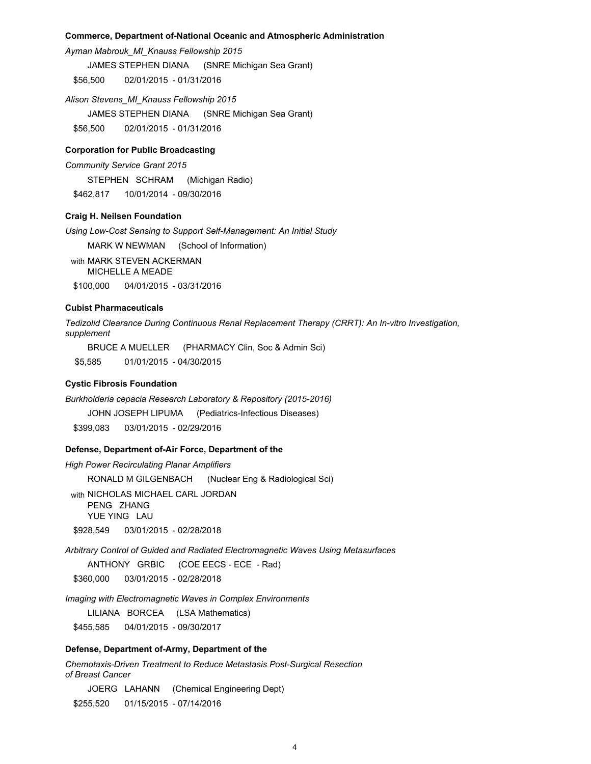### **Commerce, Department of-National Oceanic and Atmospheric Administration**

*Ayman Mabrouk\_MI\_Knauss Fellowship 2015*

JAMES STEPHEN DIANA (SNRE Michigan Sea Grant)

\$56,500 02/01/2015 - 01/31/2016

*Alison Stevens\_MI\_Knauss Fellowship 2015* JAMES STEPHEN DIANA (SNRE Michigan Sea Grant) \$56,500 02/01/2015 - 01/31/2016

### **Corporation for Public Broadcasting**

*Community Service Grant 2015* STEPHEN SCHRAM (Michigan Radio)

\$462,817 10/01/2014 - 09/30/2016

## **Craig H. Neilsen Foundation**

*Using Low-Cost Sensing to Support Self-Management: An Initial Study*

MARK W NEWMAN (School of Information)

with MARK STEVEN ACKERMAN MICHELLE A MEADE \$100,000 04/01/2015 - 03/31/2016

#### **Cubist Pharmaceuticals**

*Tedizolid Clearance During Continuous Renal Replacement Therapy (CRRT): An In-vitro Investigation, supplement*

BRUCE A MUELLER (PHARMACY Clin, Soc & Admin Sci)

\$5,585 01/01/2015 - 04/30/2015

## **Cystic Fibrosis Foundation**

*Burkholderia cepacia Research Laboratory & Repository (2015-2016)* JOHN JOSEPH LIPUMA (Pediatrics-Infectious Diseases) \$399,083 03/01/2015 - 02/29/2016

## **Defense, Department of-Air Force, Department of the**

*High Power Recirculating Planar Amplifiers* RONALD M GILGENBACH (Nuclear Eng & Radiological Sci) with NICHOLAS MICHAEL CARL JORDAN PENG ZHANG YUE YING LAU \$928,549 03/01/2015 - 02/28/2018

*Arbitrary Control of Guided and Radiated Electromagnetic Waves Using Metasurfaces*

ANTHONY GRBIC (COE EECS - ECE - Rad)

\$360,000 03/01/2015 - 02/28/2018

*Imaging with Electromagnetic Waves in Complex Environments*

LILIANA BORCEA (LSA Mathematics)

\$455,585 04/01/2015 - 09/30/2017

## **Defense, Department of-Army, Department of the**

*Chemotaxis-Driven Treatment to Reduce Metastasis Post-Surgical Resection of Breast Cancer*

JOERG LAHANN (Chemical Engineering Dept) \$255,520 01/15/2015 - 07/14/2016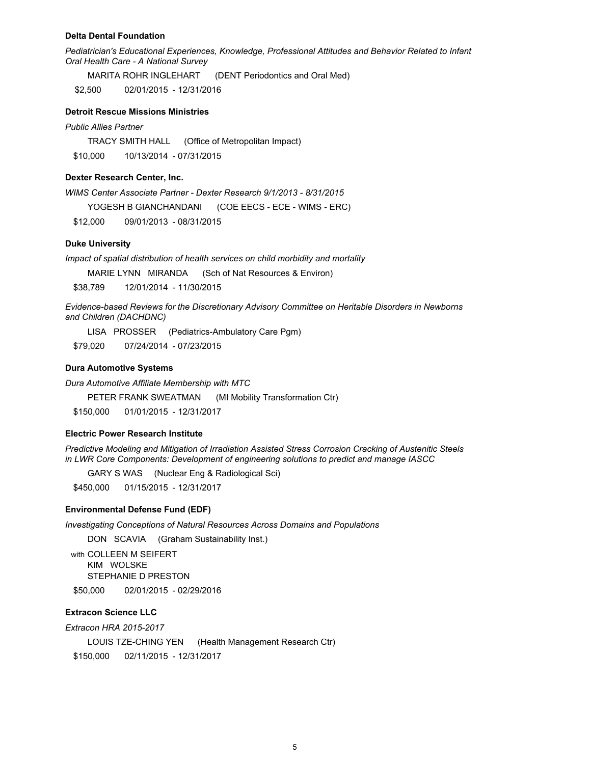#### **Delta Dental Foundation**

*Pediatrician's Educational Experiences, Knowledge, Professional Attitudes and Behavior Related to Infant Oral Health Care - A National Survey*

MARITA ROHR INGLEHART (DENT Periodontics and Oral Med)

\$2,500 02/01/2015 - 12/31/2016

## **Detroit Rescue Missions Ministries**

### *Public Allies Partner*

TRACY SMITH HALL (Office of Metropolitan Impact) \$10,000 10/13/2014 - 07/31/2015

## **Dexter Research Center, Inc.**

*WIMS Center Associate Partner - Dexter Research 9/1/2013 - 8/31/2015*

YOGESH B GIANCHANDANI (COE EECS - ECE - WIMS - ERC)

\$12,000 09/01/2013 - 08/31/2015

## **Duke University**

*Impact of spatial distribution of health services on child morbidity and mortality*

MARIE LYNN MIRANDA (Sch of Nat Resources & Environ)

\$38,789 12/01/2014 - 11/30/2015

*Evidence-based Reviews for the Discretionary Advisory Committee on Heritable Disorders in Newborns and Children (DACHDNC)*

LISA PROSSER (Pediatrics-Ambulatory Care Pgm)

\$79,020 07/24/2014 - 07/23/2015

### **Dura Automotive Systems**

*Dura Automotive Affiliate Membership with MTC*

PETER FRANK SWEATMAN (MI Mobility Transformation Ctr)

\$150,000 01/01/2015 - 12/31/2017

#### **Electric Power Research Institute**

*Predictive Modeling and Mitigation of Irradiation Assisted Stress Corrosion Cracking of Austenitic Steels in LWR Core Components: Development of engineering solutions to predict and manage IASCC*

GARY S WAS (Nuclear Eng & Radiological Sci)

\$450,000 01/15/2015 - 12/31/2017

## **Environmental Defense Fund (EDF)**

*Investigating Conceptions of Natural Resources Across Domains and Populations*

DON SCAVIA (Graham Sustainability Inst.)

with COLLEEN M SEIFERT KIM WOLSKE STEPHANIE D PRESTON \$50,000 02/01/2015 - 02/29/2016

## **Extracon Science LLC**

*Extracon HRA 2015-2017*

LOUIS TZE-CHING YEN (Health Management Research Ctr) \$150,000 02/11/2015 - 12/31/2017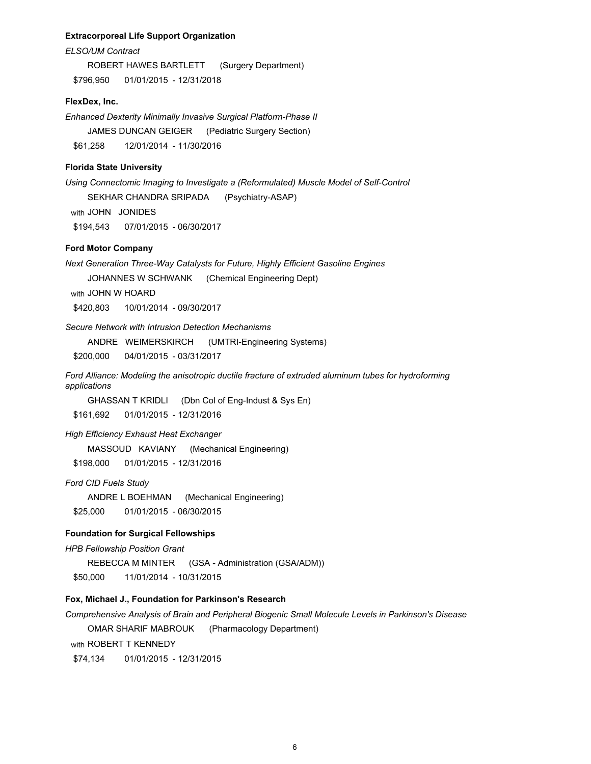### **Extracorporeal Life Support Organization**

*ELSO/UM Contract*

ROBERT HAWES BARTLETT (Surgery Department) \$796,950 01/01/2015 - 12/31/2018

### **FlexDex, Inc.**

*Enhanced Dexterity Minimally Invasive Surgical Platform-Phase II* JAMES DUNCAN GEIGER (Pediatric Surgery Section) \$61,258 12/01/2014 - 11/30/2016

## **Florida State University**

*Using Connectomic Imaging to Investigate a (Reformulated) Muscle Model of Self-Control* SEKHAR CHANDRA SRIPADA (Psychiatry-ASAP) with JOHN JONIDES

\$194,543 07/01/2015 - 06/30/2017

## **Ford Motor Company**

*Next Generation Three-Way Catalysts for Future, Highly Efficient Gasoline Engines*

JOHANNES W SCHWANK (Chemical Engineering Dept)

with JOHN W HOARD

\$420,803 10/01/2014 - 09/30/2017

## *Secure Network with Intrusion Detection Mechanisms*

ANDRE WEIMERSKIRCH (UMTRI-Engineering Systems)

\$200,000 04/01/2015 - 03/31/2017

*Ford Alliance: Modeling the anisotropic ductile fracture of extruded aluminum tubes for hydroforming applications* 

GHASSAN T KRIDLI (Dbn Col of Eng-Indust & Sys En)

\$161,692 01/01/2015 - 12/31/2016

### *High Efficiency Exhaust Heat Exchanger*

MASSOUD KAVIANY (Mechanical Engineering)

\$198,000 01/01/2015 - 12/31/2016

## *Ford CID Fuels Study*

ANDRE L BOEHMAN (Mechanical Engineering) \$25,000 01/01/2015 - 06/30/2015

#### **Foundation for Surgical Fellowships**

*HPB Fellowship Position Grant*

REBECCA M MINTER (GSA - Administration (GSA/ADM))

\$50,000 11/01/2014 - 10/31/2015

## **Fox, Michael J., Foundation for Parkinson's Research**

*Comprehensive Analysis of Brain and Peripheral Biogenic Small Molecule Levels in Parkinson's Disease*

OMAR SHARIF MABROUK (Pharmacology Department)

with ROBERT T KENNEDY

\$74,134 01/01/2015 - 12/31/2015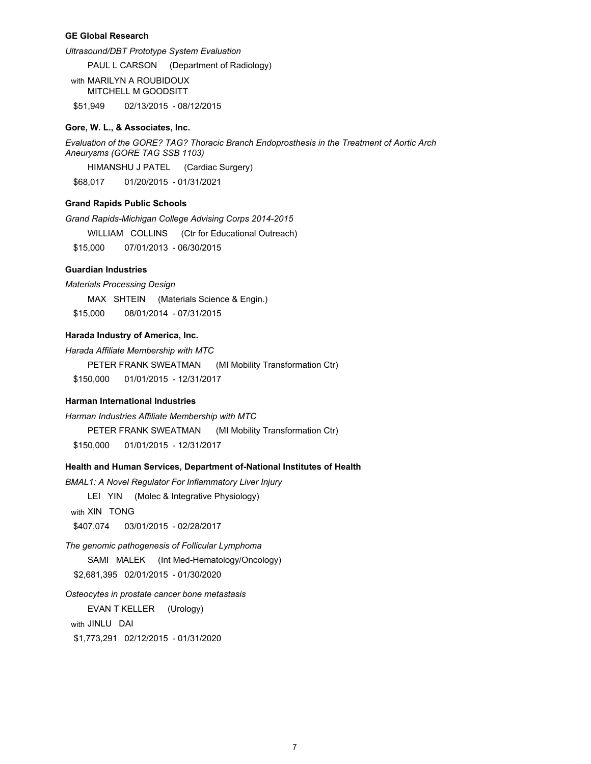### **GE Global Research**

*Ultrasound/DBT Prototype System Evaluation*

PAUL L CARSON (Department of Radiology)

with MARILYN A ROUBIDOUX MITCHELL M GOODSITT

\$51,949 02/13/2015 - 08/12/2015

## **Gore, W. L., & Associates, Inc.**

*Evaluation of the GORE? TAG? Thoracic Branch Endoprosthesis in the Treatment of Aortic Arch Aneurysms (GORE TAG SSB 1103)*

HIMANSHU J PATEL (Cardiac Surgery)

\$68,017 01/20/2015 - 01/31/2021

## **Grand Rapids Public Schools**

*Grand Rapids-Michigan College Advising Corps 2014-2015*

WILLIAM COLLINS (Ctr for Educational Outreach)

\$15,000 07/01/2013 - 06/30/2015

## **Guardian Industries**

*Materials Processing Design*

MAX SHTEIN (Materials Science & Engin.)

\$15,000 08/01/2014 - 07/31/2015

## **Harada Industry of America, Inc.**

*Harada Affiliate Membership with MTC*

PETER FRANK SWEATMAN (MI Mobility Transformation Ctr)

\$150,000 01/01/2015 - 12/31/2017

#### **Harman International Industries**

*Harman Industries Affiliate Membership with MTC* PETER FRANK SWEATMAN (MI Mobility Transformation Ctr) \$150,000 01/01/2015 - 12/31/2017

## **Health and Human Services, Department of-National Institutes of Health**

*BMAL1: A Novel Regulator For Inflammatory Liver Injury*

LEI YIN (Molec & Integrative Physiology)

with XIN TONG

\$407,074 03/01/2015 - 02/28/2017

*The genomic pathogenesis of Follicular Lymphoma* SAMI MALEK (Int Med-Hematology/Oncology) \$2,681,395 02/01/2015 - 01/30/2020

*Osteocytes in prostate cancer bone metastasis*

EVAN T KELLER (Urology)

with JINLU DAI

\$1,773,291 02/12/2015 - 01/31/2020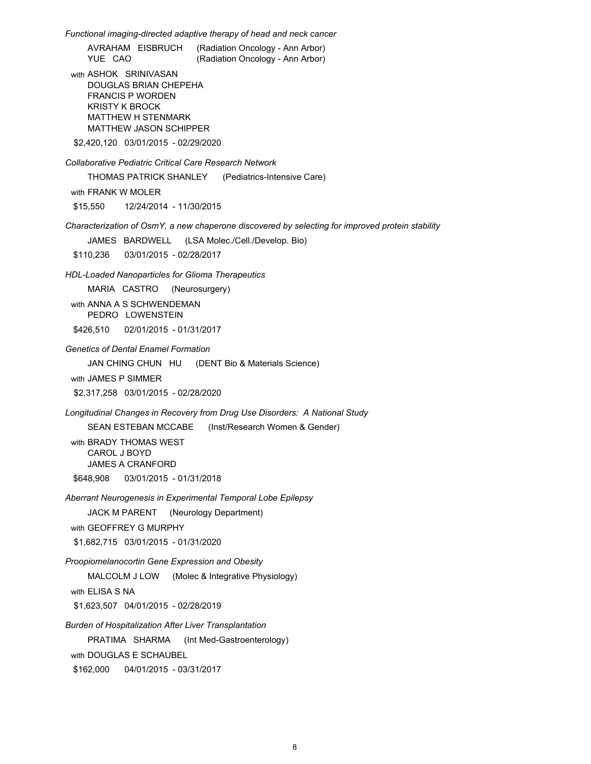*Functional imaging-directed adaptive therapy of head and neck cancer* 

AVRAHAM EISBRUCH (Radiation Oncology - Ann Arbor) (Radiation Oncology - Ann Arbor)

with ASHOK SRINIVASAN DOUGLAS BRIAN CHEPEHA FRANCIS P WORDEN KRISTY K BROCK MATTHEW H STENMARK MATTHEW JASON SCHIPPER

\$2,420,120 03/01/2015 - 02/29/2020

*Collaborative Pediatric Critical Care Research Network* 

THOMAS PATRICK SHANLEY (Pediatrics-Intensive Care)

with FRANK W MOLER

\$15,550 12/24/2014 - 11/30/2015

*Characterization of OsmY, a new chaperone discovered by selecting for improved protein stability*

JAMES BARDWELL (LSA Molec./Cell./Develop. Bio)

\$110,236 03/01/2015 - 02/28/2017

*HDL-Loaded Nanoparticles for Glioma Therapeutics*

MARIA CASTRO (Neurosurgery)

with ANNA A S SCHWENDEMAN PEDRO LOWENSTEIN

\$426,510 02/01/2015 - 01/31/2017

*Genetics of Dental Enamel Formation*

JAN CHING CHUN HU (DENT Bio & Materials Science)

with JAMES P SIMMER

\$2,317,258 03/01/2015 - 02/28/2020

*Longitudinal Changes in Recovery from Drug Use Disorders: A National Study*

SEAN ESTEBAN MCCABE (Inst/Research Women & Gender)

with BRADY THOMAS WEST CAROL J BOYD JAMES A CRANFORD \$648,908 03/01/2015 - 01/31/2018

*Aberrant Neurogenesis in Experimental Temporal Lobe Epilepsy*

JACK M PARENT (Neurology Department)

with GEOFFREY G MURPHY

\$1,682,715 03/01/2015 - 01/31/2020

*Proopiomelanocortin Gene Expression and Obesity*

MALCOLM J LOW (Molec & Integrative Physiology)

with ELISA S NA

\$1,623,507 04/01/2015 - 02/28/2019

*Burden of Hospitalization After Liver Transplantation*

PRATIMA SHARMA (Int Med-Gastroenterology)

with DOUGLAS E SCHAUBEL

\$162,000 04/01/2015 - 03/31/2017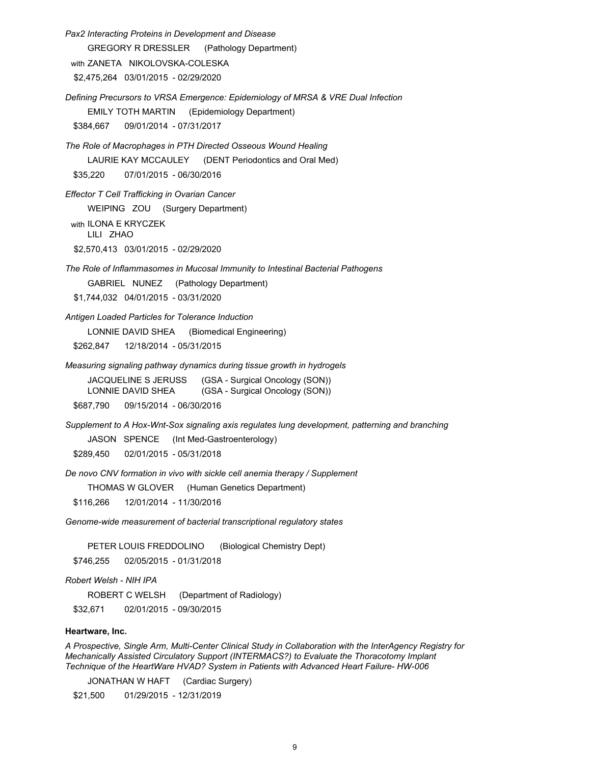*Pax2 Interacting Proteins in Development and Disease* GREGORY R DRESSLER (Pathology Department) with ZANETA NIKOLOVSKA-COLESKA \$2,475,264 03/01/2015 - 02/29/2020 *Defining Precursors to VRSA Emergence: Epidemiology of MRSA & VRE Dual Infection* EMILY TOTH MARTIN (Epidemiology Department) \$384,667 09/01/2014 - 07/31/2017 *The Role of Macrophages in PTH Directed Osseous Wound Healing* LAURIE KAY MCCAULEY (DENT Periodontics and Oral Med) \$35,220 07/01/2015 - 06/30/2016 *Effector T Cell Trafficking in Ovarian Cancer* WEIPING ZOU (Surgery Department) with ILONA E KRYCZEK LILI ZHAO \$2,570,413 03/01/2015 - 02/29/2020 *The Role of Inflammasomes in Mucosal Immunity to Intestinal Bacterial Pathogens* GABRIEL NUNEZ (Pathology Department) \$1,744,032 04/01/2015 - 03/31/2020 *Antigen Loaded Particles for Tolerance Induction* LONNIE DAVID SHEA (Biomedical Engineering) \$262,847 12/18/2014 - 05/31/2015 *Measuring signaling pathway dynamics during tissue growth in hydrogels* JACQUELINE S JERUSS (GSA - Surgical Oncology (SON)) LONNIE DAVID SHEA (GSA - Surgical Oncology (SON)) \$687,790 09/15/2014 - 06/30/2016 *Supplement to A Hox-Wnt-Sox signaling axis regulates lung development, patterning and branching* JASON SPENCE (Int Med-Gastroenterology) \$289,450 02/01/2015 - 05/31/2018 *De novo CNV formation in vivo with sickle cell anemia therapy / Supplement* THOMAS W GLOVER (Human Genetics Department) \$116,266 12/01/2014 - 11/30/2016 *Genome-wide measurement of bacterial transcriptional regulatory states*  PETER LOUIS FREDDOLINO (Biological Chemistry Dept) \$746,255 02/05/2015 - 01/31/2018 *Robert Welsh - NIH IPA* ROBERT C WELSH (Department of Radiology) \$32,671 02/01/2015 - 09/30/2015 *A Prospective, Single Arm, Multi-Center Clinical Study in Collaboration with the InterAgency Registry for Mechanically Assisted Circulatory Support (INTERMACS?) to Evaluate the Thoracotomy Implant* **Heartware, Inc.**

*Technique of the HeartWare HVAD? System in Patients with Advanced Heart Failure- HW-006*

JONATHAN W HAFT (Cardiac Surgery)

\$21,500 01/29/2015 - 12/31/2019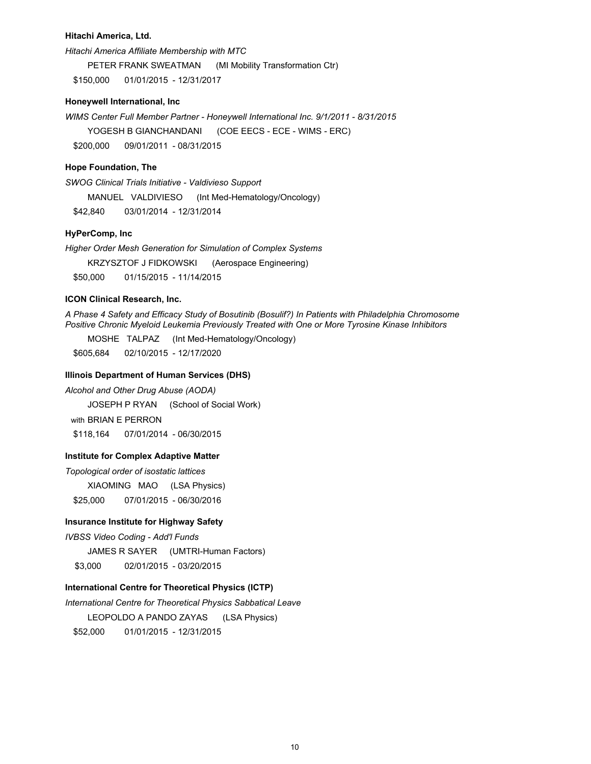### **Hitachi America, Ltd.**

*Hitachi America Affiliate Membership with MTC*

PETER FRANK SWEATMAN (MI Mobility Transformation Ctr)

\$150,000 01/01/2015 - 12/31/2017

## **Honeywell International, Inc**

*WIMS Center Full Member Partner - Honeywell International Inc. 9/1/2011 - 8/31/2015* YOGESH B GIANCHANDANI (COE EECS - ECE - WIMS - ERC) \$200,000 09/01/2011 - 08/31/2015

## **Hope Foundation, The**

*SWOG Clinical Trials Initiative - Valdivieso Support* MANUEL VALDIVIESO (Int Med-Hematology/Oncology) \$42,840 03/01/2014 - 12/31/2014

## **HyPerComp, Inc**

*Higher Order Mesh Generation for Simulation of Complex Systems*

KRZYSZTOF J FIDKOWSKI (Aerospace Engineering)

\$50,000 01/15/2015 - 11/14/2015

## **ICON Clinical Research, Inc.**

*A Phase 4 Safety and Efficacy Study of Bosutinib (Bosulif?) In Patients with Philadelphia Chromosome Positive Chronic Myeloid Leukemia Previously Treated with One or More Tyrosine Kinase Inhibitors*

MOSHE TALPAZ (Int Med-Hematology/Oncology)

\$605,684 02/10/2015 - 12/17/2020

## **Illinois Department of Human Services (DHS)**

*Alcohol and Other Drug Abuse (AODA)*

JOSEPH P RYAN (School of Social Work)

with BRIAN E PERRON

\$118,164 07/01/2014 - 06/30/2015

## **Institute for Complex Adaptive Matter**

*Topological order of isostatic lattices*

XIAOMING MAO (LSA Physics) \$25,000 07/01/2015 - 06/30/2016

## **Insurance Institute for Highway Safety**

*IVBSS Video Coding - Add'l Funds*

JAMES R SAYER (UMTRI-Human Factors)

\$3,000 02/01/2015 - 03/20/2015

## **International Centre for Theoretical Physics (ICTP)**

*International Centre for Theoretical Physics Sabbatical Leave*

LEOPOLDO A PANDO ZAYAS (LSA Physics)

\$52,000 01/01/2015 - 12/31/2015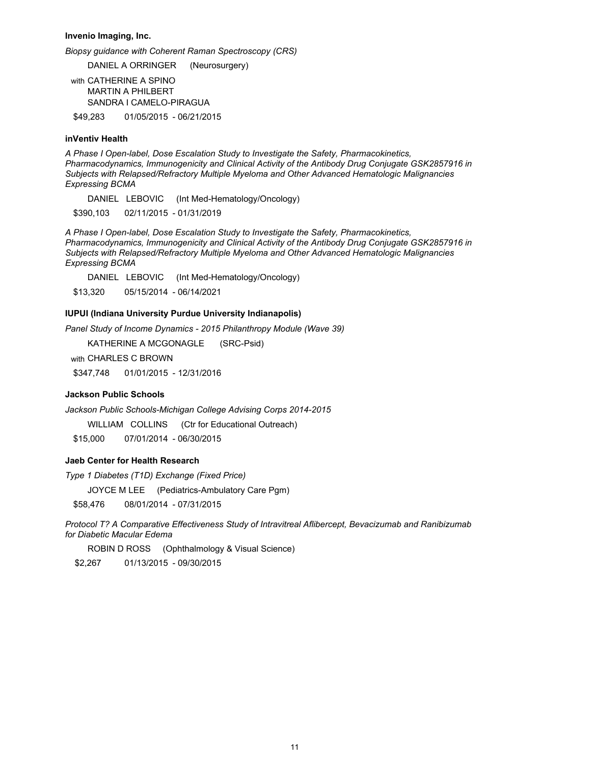**Invenio Imaging, Inc.**

*Biopsy guidance with Coherent Raman Spectroscopy (CRS)*

DANIEL A ORRINGER (Neurosurgery)

with CATHERINE A SPINO MARTIN A PHILBERT SANDRA I CAMELO-PIRAGUA

\$49,283 01/05/2015 - 06/21/2015

## **inVentiv Health**

*A Phase I Open-label, Dose Escalation Study to Investigate the Safety, Pharmacokinetics, Pharmacodynamics, Immunogenicity and Clinical Activity of the Antibody Drug Conjugate GSK2857916 in Subjects with Relapsed/Refractory Multiple Myeloma and Other Advanced Hematologic Malignancies Expressing BCMA*

DANIEL LEBOVIC (Int Med-Hematology/Oncology)

\$390,103 02/11/2015 - 01/31/2019

*A Phase I Open-label, Dose Escalation Study to Investigate the Safety, Pharmacokinetics, Pharmacodynamics, Immunogenicity and Clinical Activity of the Antibody Drug Conjugate GSK2857916 in Subjects with Relapsed/Refractory Multiple Myeloma and Other Advanced Hematologic Malignancies Expressing BCMA*

DANIEL LEBOVIC (Int Med-Hematology/Oncology)

\$13,320 05/15/2014 - 06/14/2021

## **IUPUI (Indiana University Purdue University Indianapolis)**

*Panel Study of Income Dynamics - 2015 Philanthropy Module (Wave 39)*

KATHERINE A MCGONAGLE (SRC-Psid)

with CHARLES C BROWN

\$347,748 01/01/2015 - 12/31/2016

### **Jackson Public Schools**

*Jackson Public Schools-Michigan College Advising Corps 2014-2015*

WILLIAM COLLINS (Ctr for Educational Outreach)

\$15,000 07/01/2014 - 06/30/2015

### **Jaeb Center for Health Research**

*Type 1 Diabetes (T1D) Exchange (Fixed Price)*

JOYCE M LEE (Pediatrics-Ambulatory Care Pgm)

\$58,476 08/01/2014 - 07/31/2015

*Protocol T? A Comparative Effectiveness Study of Intravitreal Aflibercept, Bevacizumab and Ranibizumab for Diabetic Macular Edema*

ROBIN D ROSS (Ophthalmology & Visual Science)

\$2,267 01/13/2015 - 09/30/2015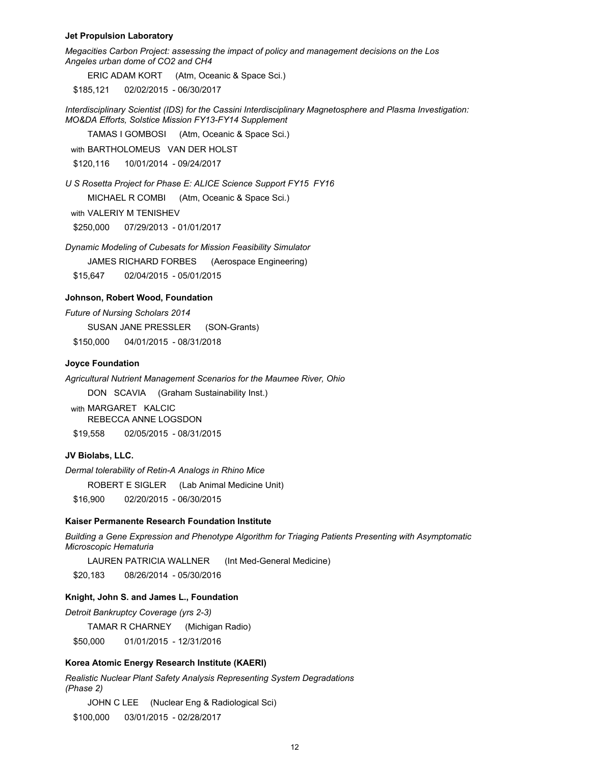### **Jet Propulsion Laboratory**

*Megacities Carbon Project: assessing the impact of policy and management decisions on the Los Angeles urban dome of CO2 and CH4*

ERIC ADAM KORT (Atm, Oceanic & Space Sci.)

\$185,121 02/02/2015 - 06/30/2017

*Interdisciplinary Scientist (IDS) for the Cassini Interdisciplinary Magnetosphere and Plasma Investigation: MO&DA Efforts, Solstice Mission FY13-FY14 Supplement*

TAMAS I GOMBOSI (Atm, Oceanic & Space Sci.)

with BARTHOLOMEUS VAN DER HOLST

\$120,116 10/01/2014 - 09/24/2017

*U S Rosetta Project for Phase E: ALICE Science Support FY15 FY16*

MICHAEL R COMBI (Atm, Oceanic & Space Sci.)

with VALERIY M TENISHEV

\$250,000 07/29/2013 - 01/01/2017

*Dynamic Modeling of Cubesats for Mission Feasibility Simulator*

JAMES RICHARD FORBES (Aerospace Engineering)

\$15,647 02/04/2015 - 05/01/2015

## **Johnson, Robert Wood, Foundation**

*Future of Nursing Scholars 2014* SUSAN JANE PRESSLER (SON-Grants)

\$150,000 04/01/2015 - 08/31/2018

### **Joyce Foundation**

*Agricultural Nutrient Management Scenarios for the Maumee River, Ohio*

DON SCAVIA (Graham Sustainability Inst.)

with MARGARET KALCIC REBECCA ANNE LOGSDON \$19,558 02/05/2015 - 08/31/2015

#### **JV Biolabs, LLC.**

*Dermal tolerability of Retin-A Analogs in Rhino Mice* ROBERT E SIGLER (Lab Animal Medicine Unit) \$16,900 02/20/2015 - 06/30/2015

#### **Kaiser Permanente Research Foundation Institute**

*Building a Gene Expression and Phenotype Algorithm for Triaging Patients Presenting with Asymptomatic Microscopic Hematuria*

LAUREN PATRICIA WALLNER (Int Med-General Medicine)

\$20,183 08/26/2014 - 05/30/2016

#### **Knight, John S. and James L., Foundation**

*Detroit Bankruptcy Coverage (yrs 2-3)* TAMAR R CHARNEY (Michigan Radio)

\$50,000 01/01/2015 - 12/31/2016

#### **Korea Atomic Energy Research Institute (KAERI)**

*Realistic Nuclear Plant Safety Analysis Representing System Degradations (Phase 2)*

JOHN C LEE (Nuclear Eng & Radiological Sci)

\$100,000 03/01/2015 - 02/28/2017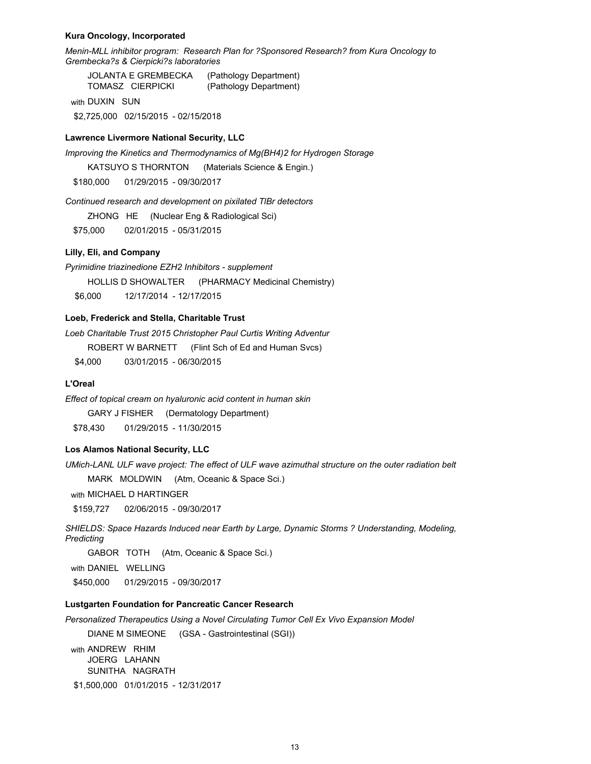### **Kura Oncology, Incorporated**

*Menin-MLL inhibitor program: Research Plan for ?Sponsored Research? from Kura Oncology to Grembecka?s & Cierpicki?s laboratories*

JOLANTA E GREMBECKA (Pathology Department) TOMASZ CIERPICKI (Pathology Department)

with DUXIN SUN

\$2,725,000 02/15/2015 - 02/15/2018

### **Lawrence Livermore National Security, LLC**

*Improving the Kinetics and Thermodynamics of Mg(BH4)2 for Hydrogen Storage*

KATSUYO S THORNTON (Materials Science & Engin.)

\$180,000 01/29/2015 - 09/30/2017

*Continued research and development on pixilated TlBr detectors*

ZHONG HE (Nuclear Eng & Radiological Sci)

\$75,000 02/01/2015 - 05/31/2015

## **Lilly, Eli, and Company**

*Pyrimidine triazinedione EZH2 Inhibitors - supplement*

HOLLIS D SHOWALTER (PHARMACY Medicinal Chemistry)

\$6,000 12/17/2014 - 12/17/2015

## **Loeb, Frederick and Stella, Charitable Trust**

*Loeb Charitable Trust 2015 Christopher Paul Curtis Writing Adventur*

ROBERT W BARNETT (Flint Sch of Ed and Human Svcs)

\$4,000 03/01/2015 - 06/30/2015

## **L'Oreal**

*Effect of topical cream on hyaluronic acid content in human skin*

GARY J FISHER (Dermatology Department)

\$78,430 01/29/2015 - 11/30/2015

## **Los Alamos National Security, LLC**

*UMich-LANL ULF wave project: The effect of ULF wave azimuthal structure on the outer radiation belt*

MARK MOLDWIN (Atm, Oceanic & Space Sci.)

with MICHAEL D HARTINGER

\$159,727 02/06/2015 - 09/30/2017

*SHIELDS: Space Hazards Induced near Earth by Large, Dynamic Storms ? Understanding, Modeling, Predicting*

GABOR TOTH (Atm, Oceanic & Space Sci.)

with DANIEL WELLING

\$450,000 01/29/2015 - 09/30/2017

## **Lustgarten Foundation for Pancreatic Cancer Research**

*Personalized Therapeutics Using a Novel Circulating Tumor Cell Ex Vivo Expansion Model* 

DIANE M SIMEONE (GSA - Gastrointestinal (SGI))

with ANDREW RHIM JOERG LAHANN SUNITHA NAGRATH

\$1,500,000 01/01/2015 - 12/31/2017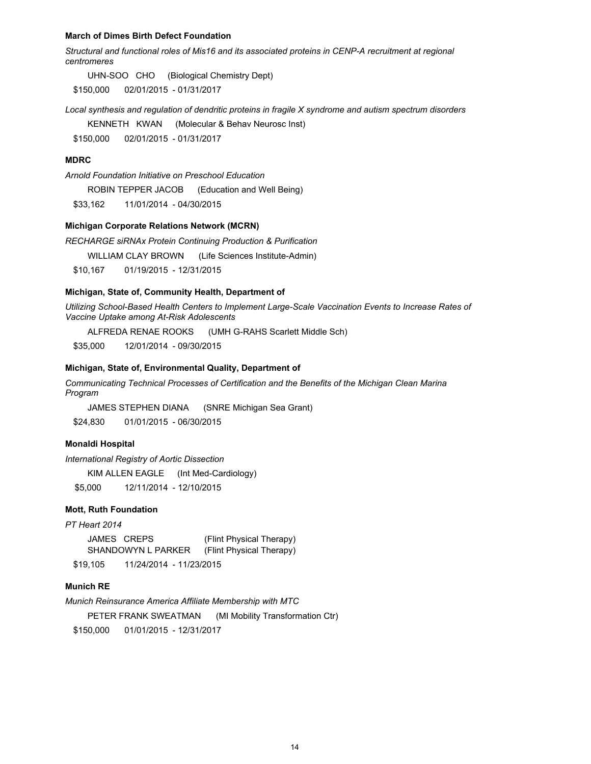#### **March of Dimes Birth Defect Foundation**

*Structural and functional roles of Mis16 and its associated proteins in CENP-A recruitment at regional centromeres*

UHN-SOO CHO (Biological Chemistry Dept)

\$150,000 02/01/2015 - 01/31/2017

*Local synthesis and regulation of dendritic proteins in fragile X syndrome and autism spectrum disorders*

KENNETH KWAN (Molecular & Behav Neurosc Inst)

\$150,000 02/01/2015 - 01/31/2017

### **MDRC**

*Arnold Foundation Initiative on Preschool Education*

ROBIN TEPPER JACOB (Education and Well Being)

\$33,162 11/01/2014 - 04/30/2015

#### **Michigan Corporate Relations Network (MCRN)**

*RECHARGE siRNAx Protein Continuing Production & Purification*

WILLIAM CLAY BROWN (Life Sciences Institute-Admin)

\$10,167 01/19/2015 - 12/31/2015

### **Michigan, State of, Community Health, Department of**

*Utilizing School-Based Health Centers to Implement Large-Scale Vaccination Events to Increase Rates of Vaccine Uptake among At-Risk Adolescents*

ALFREDA RENAE ROOKS (UMH G-RAHS Scarlett Middle Sch)

\$35,000 12/01/2014 - 09/30/2015

#### **Michigan, State of, Environmental Quality, Department of**

*Communicating Technical Processes of Certification and the Benefits of the Michigan Clean Marina Program*

JAMES STEPHEN DIANA (SNRE Michigan Sea Grant)

\$24,830 01/01/2015 - 06/30/2015

## **Monaldi Hospital**

*International Registry of Aortic Dissection*

KIM ALLEN EAGLE (Int Med-Cardiology)

\$5,000 12/11/2014 - 12/10/2015

## **Mott, Ruth Foundation**

## *PT Heart 2014*

JAMES CREPS (Flint Physical Therapy) SHANDOWYN L PARKER (Flint Physical Therapy) \$19,105 11/24/2014 - 11/23/2015

#### **Munich RE**

*Munich Reinsurance America Affiliate Membership with MTC*

PETER FRANK SWEATMAN (MI Mobility Transformation Ctr)

\$150,000 01/01/2015 - 12/31/2017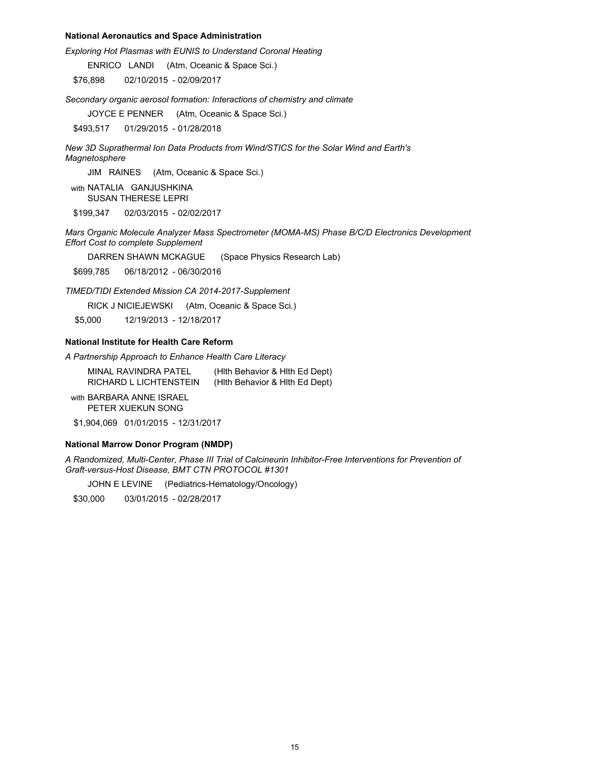## **National Aeronautics and Space Administration**

*Exploring Hot Plasmas with EUNIS to Understand Coronal Heating*

ENRICO LANDI (Atm, Oceanic & Space Sci.)

\$76,898 02/10/2015 - 02/09/2017

*Secondary organic aerosol formation: Interactions of chemistry and climate* 

JOYCE E PENNER (Atm, Oceanic & Space Sci.)

\$493,517 01/29/2015 - 01/28/2018

*New 3D Suprathermal Ion Data Products from Wind/STICS for the Solar Wind and Earth's Magnetosphere*

JIM RAINES (Atm, Oceanic & Space Sci.)

with NATALIA GANJUSHKINA SUSAN THERESE LEPRI

\$199,347 02/03/2015 - 02/02/2017

*Mars Organic Molecule Analyzer Mass Spectrometer (MOMA-MS) Phase B/C/D Electronics Development Effort Cost to complete Supplement*

DARREN SHAWN MCKAGUE (Space Physics Research Lab)

\$699,785 06/18/2012 - 06/30/2016

*TIMED/TIDI Extended Mission CA 2014-2017-Supplement*

RICK J NICIEJEWSKI (Atm, Oceanic & Space Sci.)

\$5,000 12/19/2013 - 12/18/2017

## **National Institute for Health Care Reform**

*A Partnership Approach to Enhance Health Care Literacy*

MINAL RAVINDRA PATEL (Hlth Behavior & Hlth Ed Dept) RICHARD L LICHTENSTEIN (Hlth Behavior & Hlth Ed Dept)

with BARBARA ANNE ISRAEL PETER XUEKUN SONG

\$1,904,069 01/01/2015 - 12/31/2017

### **National Marrow Donor Program (NMDP)**

*A Randomized, Multi-Center, Phase III Trial of Calcineurin Inhibitor-Free Interventions for Prevention of Graft-versus-Host Disease, BMT CTN PROTOCOL #1301* 

JOHN E LEVINE (Pediatrics-Hematology/Oncology)

\$30,000 03/01/2015 - 02/28/2017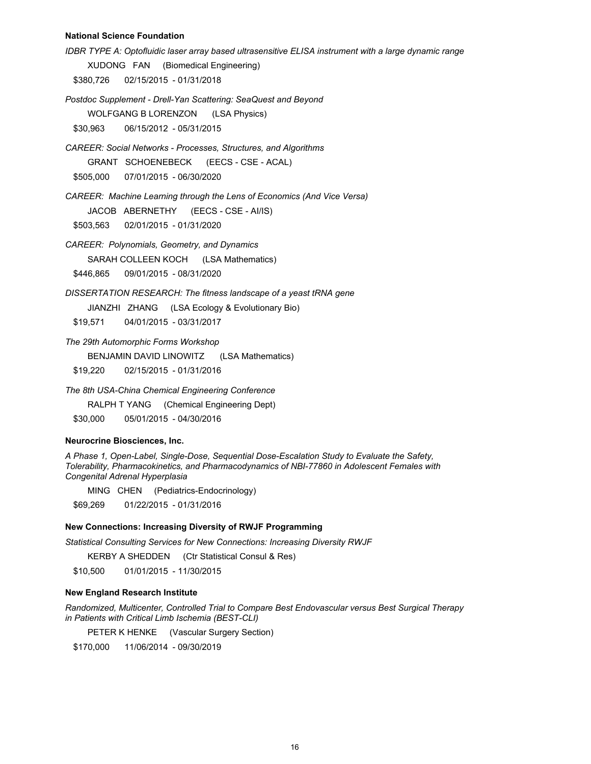### **National Science Foundation**

*IDBR TYPE A: Optofluidic laser array based ultrasensitive ELISA instrument with a large dynamic range* XUDONG FAN (Biomedical Engineering) \$380,726 02/15/2015 - 01/31/2018 *Postdoc Supplement - Drell-Yan Scattering: SeaQuest and Beyond* WOLFGANG B LORENZON (LSA Physics) \$30,963 06/15/2012 - 05/31/2015 *CAREER: Social Networks - Processes, Structures, and Algorithms* GRANT SCHOENEBECK (EECS - CSE - ACAL) \$505,000 07/01/2015 - 06/30/2020 *CAREER: Machine Learning through the Lens of Economics (And Vice Versa)* JACOB ABERNETHY (EECS - CSE - AI/IS) \$503,563 02/01/2015 - 01/31/2020 *CAREER: Polynomials, Geometry, and Dynamics* SARAH COLLEEN KOCH (LSA Mathematics) \$446,865 09/01/2015 - 08/31/2020 *DISSERTATION RESEARCH: The fitness landscape of a yeast tRNA gene* JIANZHI ZHANG (LSA Ecology & Evolutionary Bio) \$19,571 04/01/2015 - 03/31/2017 *The 29th Automorphic Forms Workshop* BENJAMIN DAVID LINOWITZ (LSA Mathematics) \$19,220 02/15/2015 - 01/31/2016 *The 8th USA-China Chemical Engineering Conference*

RALPH T YANG (Chemical Engineering Dept)

\$30,000 05/01/2015 - 04/30/2016

## **Neurocrine Biosciences, Inc.**

*A Phase 1, Open-Label, Single-Dose, Sequential Dose-Escalation Study to Evaluate the Safety, Tolerability, Pharmacokinetics, and Pharmacodynamics of NBI-77860 in Adolescent Females with Congenital Adrenal Hyperplasia*

MING CHEN (Pediatrics-Endocrinology)

\$69,269 01/22/2015 - 01/31/2016

## **New Connections: Increasing Diversity of RWJF Programming**

*Statistical Consulting Services for New Connections: Increasing Diversity RWJF* 

KERBY A SHEDDEN (Ctr Statistical Consul & Res)

\$10,500 01/01/2015 - 11/30/2015

## **New England Research Institute**

*Randomized, Multicenter, Controlled Trial to Compare Best Endovascular versus Best Surgical Therapy in Patients with Critical Limb Ischemia (BEST-CLI)*

PETER K HENKE (Vascular Surgery Section)

\$170,000 11/06/2014 - 09/30/2019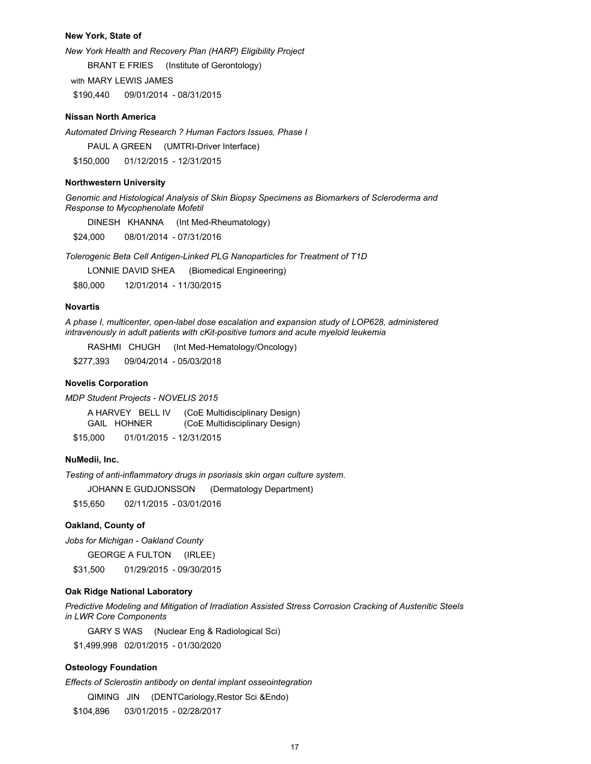### **New York, State of**

*New York Health and Recovery Plan (HARP) Eligibility Project* BRANT E FRIES (Institute of Gerontology) with MARY LEWIS JAMES \$190,440 09/01/2014 - 08/31/2015

### **Nissan North America**

*Automated Driving Research ? Human Factors Issues, Phase I*

PAUL A GREEN (UMTRI-Driver Interface) \$150,000 01/12/2015 - 12/31/2015

#### **Northwestern University**

*Genomic and Histological Analysis of Skin Biopsy Specimens as Biomarkers of Scleroderma and Response to Mycophenolate Mofetil*

DINESH KHANNA (Int Med-Rheumatology)

\$24,000 08/01/2014 - 07/31/2016

*Tolerogenic Beta Cell Antigen-Linked PLG Nanoparticles for Treatment of T1D*

LONNIE DAVID SHEA (Biomedical Engineering)

\$80,000 12/01/2014 - 11/30/2015

### **Novartis**

*A phase I, multicenter, open-label dose escalation and expansion study of LOP628, administered intravenously in adult patients with cKit-positive tumors and acute myeloid leukemia*

RASHMI CHUGH (Int Med-Hematology/Oncology)

\$277,393 09/04/2014 - 05/03/2018

## **Novelis Corporation**

*MDP Student Projects - NOVELIS 2015*

A HARVEY BELL IV (CoE Multidisciplinary Design) GAIL HOHNER (CoE Multidisciplinary Design) \$15,000 01/01/2015 - 12/31/2015

#### **NuMedii, Inc.**

*Testing of anti-inflammatory drugs in psoriasis skin organ culture system.*

JOHANN E GUDJONSSON (Dermatology Department)

\$15,650 02/11/2015 - 03/01/2016

## **Oakland, County of**

*Jobs for Michigan - Oakland County*

GEORGE A FULTON (IRLEE)

\$31,500 01/29/2015 - 09/30/2015

## **Oak Ridge National Laboratory**

*Predictive Modeling and Mitigation of Irradiation Assisted Stress Corrosion Cracking of Austenitic Steels in LWR Core Components* 

GARY S WAS (Nuclear Eng & Radiological Sci)

\$1,499,998 02/01/2015 - 01/30/2020

## **Osteology Foundation**

*Effects of Sclerostin antibody on dental implant osseointegration*

QIMING JIN (DENTCariology,Restor Sci &Endo)

\$104,896 03/01/2015 - 02/28/2017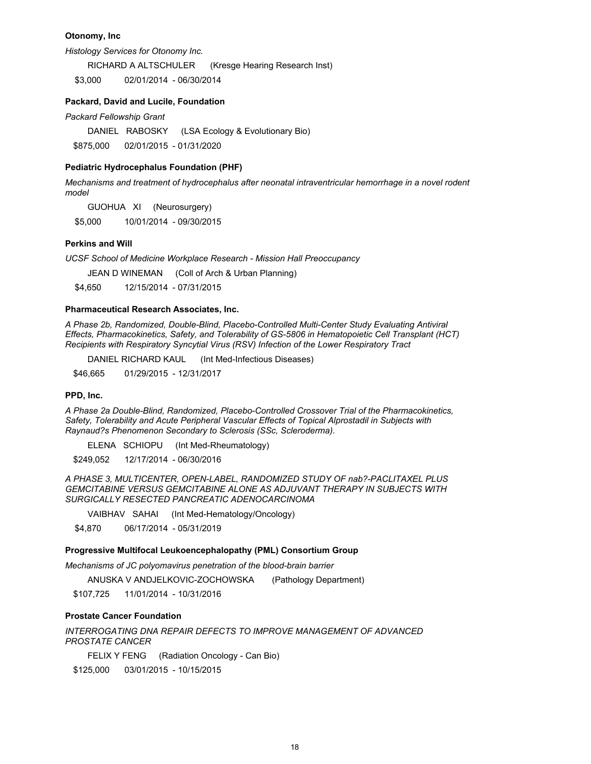## **Otonomy, Inc**

*Histology Services for Otonomy Inc.*

RICHARD A ALTSCHULER (Kresge Hearing Research Inst)

\$3,000 02/01/2014 - 06/30/2014

## **Packard, David and Lucile, Foundation**

*Packard Fellowship Grant*

DANIEL RABOSKY (LSA Ecology & Evolutionary Bio)

\$875,000 02/01/2015 - 01/31/2020

#### **Pediatric Hydrocephalus Foundation (PHF)**

*Mechanisms and treatment of hydrocephalus after neonatal intraventricular hemorrhage in a novel rodent model*

GUOHUA XI (Neurosurgery)

\$5,000 10/01/2014 - 09/30/2015

### **Perkins and Will**

*UCSF School of Medicine Workplace Research - Mission Hall Preoccupancy*

JEAN D WINEMAN (Coll of Arch & Urban Planning)

\$4,650 12/15/2014 - 07/31/2015

### **Pharmaceutical Research Associates, Inc.**

*A Phase 2b, Randomized, Double-Blind, Placebo-Controlled Multi-Center Study Evaluating Antiviral Effects, Pharmacokinetics, Safety, and Tolerability of GS-5806 in Hematopoietic Cell Transplant (HCT) Recipients with Respiratory Syncytial Virus (RSV) Infection of the Lower Respiratory Tract*

DANIEL RICHARD KAUL (Int Med-Infectious Diseases)

\$46,665 01/29/2015 - 12/31/2017

#### **PPD, Inc.**

*A Phase 2a Double-Blind, Randomized, Placebo-Controlled Crossover Trial of the Pharmacokinetics, Safety, Tolerability and Acute Peripheral Vascular Effects of Topical Alprostadil in Subjects with Raynaud?s Phenomenon Secondary to Sclerosis (SSc, Scleroderma).*

ELENA SCHIOPU (Int Med-Rheumatology)

\$249,052 12/17/2014 - 06/30/2016

*A PHASE 3, MULTICENTER, OPEN-LABEL, RANDOMIZED STUDY OF nab?-PACLITAXEL PLUS GEMCITABINE VERSUS GEMCITABINE ALONE AS ADJUVANT THERAPY IN SUBJECTS WITH SURGICALLY RESECTED PANCREATIC ADENOCARCINOMA*

VAIBHAV SAHAI (Int Med-Hematology/Oncology)

\$4,870 06/17/2014 - 05/31/2019

### **Progressive Multifocal Leukoencephalopathy (PML) Consortium Group**

*Mechanisms of JC polyomavirus penetration of the blood-brain barrier*

ANUSKA V ANDJELKOVIC-ZOCHOWSKA (Pathology Department)

\$107,725 11/01/2014 - 10/31/2016

## **Prostate Cancer Foundation**

## *INTERROGATING DNA REPAIR DEFECTS TO IMPROVE MANAGEMENT OF ADVANCED PROSTATE CANCER*

FELIX Y FENG (Radiation Oncology - Can Bio)

\$125,000 03/01/2015 - 10/15/2015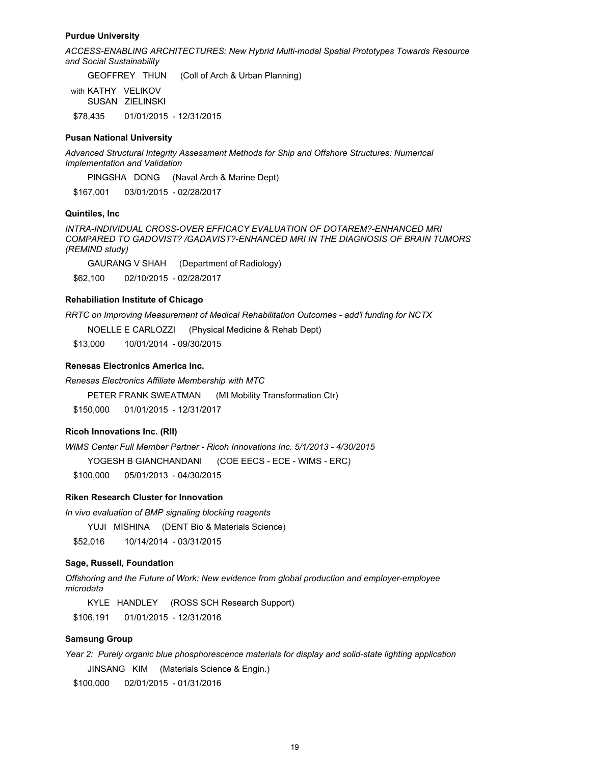### **Purdue University**

*ACCESS-ENABLING ARCHITECTURES: New Hybrid Multi-modal Spatial Prototypes Towards Resource and Social Sustainability*

GEOFFREY THUN (Coll of Arch & Urban Planning)

with KATHY VELIKOV SUSAN ZIELINSKI \$78,435 01/01/2015 - 12/31/2015

## **Pusan National University**

*Advanced Structural Integrity Assessment Methods for Ship and Offshore Structures: Numerical Implementation and Validation*

PINGSHA DONG (Naval Arch & Marine Dept)

\$167,001 03/01/2015 - 02/28/2017

## **Quintiles, Inc**

*INTRA-INDIVIDUAL CROSS-OVER EFFICACY EVALUATION OF DOTAREM?-ENHANCED MRI COMPARED TO GADOVIST? /GADAVIST?-ENHANCED MRI IN THE DIAGNOSIS OF BRAIN TUMORS (REMIND study)*

GAURANG V SHAH (Department of Radiology)

\$62,100 02/10/2015 - 02/28/2017

#### **Rehabiliation Institute of Chicago**

*RRTC on Improving Measurement of Medical Rehabilitation Outcomes - add'l funding for NCTX*

NOELLE E CARLOZZI (Physical Medicine & Rehab Dept)

\$13,000 10/01/2014 - 09/30/2015

## **Renesas Electronics America Inc.**

*Renesas Electronics Affiliate Membership with MTC*

PETER FRANK SWEATMAN (MI Mobility Transformation Ctr)

\$150,000 01/01/2015 - 12/31/2017

## **Ricoh Innovations Inc. (RII)**

*WIMS Center Full Member Partner - Ricoh Innovations Inc. 5/1/2013 - 4/30/2015*

YOGESH B GIANCHANDANI (COE EECS - ECE - WIMS - ERC)

\$100,000 05/01/2013 - 04/30/2015

## **Riken Research Cluster for Innovation**

*In vivo evaluation of BMP signaling blocking reagents*

YUJI MISHINA (DENT Bio & Materials Science)

\$52,016 10/14/2014 - 03/31/2015

## **Sage, Russell, Foundation**

*Offshoring and the Future of Work: New evidence from global production and employer-employee microdata*

KYLE HANDLEY (ROSS SCH Research Support)

\$106,191 01/01/2015 - 12/31/2016

#### **Samsung Group**

*Year 2: Purely organic blue phosphorescence materials for display and solid-state lighting application* JINSANG KIM (Materials Science & Engin.)

\$100,000 02/01/2015 - 01/31/2016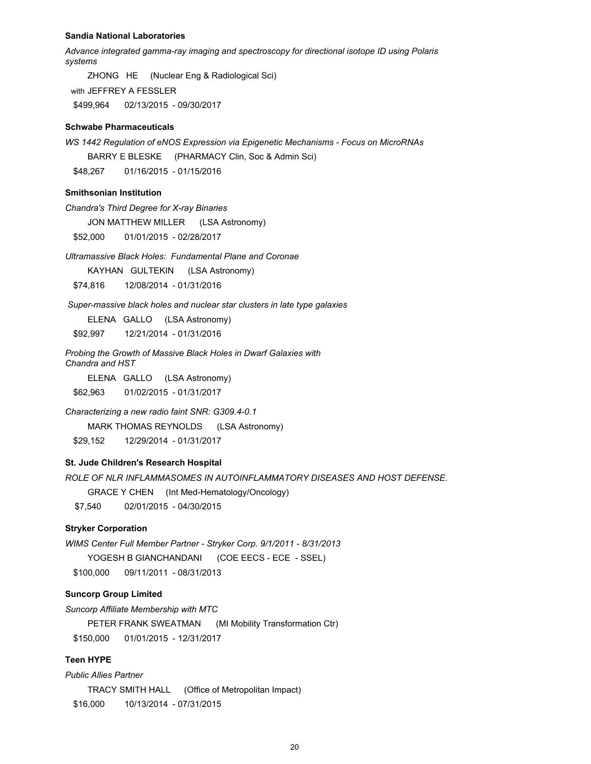#### **Sandia National Laboratories**

*Advance integrated gamma-ray imaging and spectroscopy for directional isotope ID using Polaris systems*

ZHONG HE (Nuclear Eng & Radiological Sci) with JEFFREY A FESSLER \$499,964 02/13/2015 - 09/30/2017

## **Schwabe Pharmaceuticals**

*WS 1442 Regulation of eNOS Expression via Epigenetic Mechanisms - Focus on MicroRNAs*

BARRY E BLESKE (PHARMACY Clin, Soc & Admin Sci)

\$48,267 01/16/2015 - 01/15/2016

## **Smithsonian Institution**

*Chandra's Third Degree for X-ray Binaries*

JON MATTHEW MILLER (LSA Astronomy)

\$52,000 01/01/2015 - 02/28/2017

*Ultramassive Black Holes: Fundamental Plane and Coronae*

KAYHAN GULTEKIN (LSA Astronomy)

\$74,816 12/08/2014 - 01/31/2016

 *Super-massive black holes and nuclear star clusters in late type galaxies*

ELENA GALLO (LSA Astronomy)

\$92,997 12/21/2014 - 01/31/2016

*Probing the Growth of Massive Black Holes in Dwarf Galaxies with Chandra and HST*

ELENA GALLO (LSA Astronomy) \$62,963 01/02/2015 - 01/31/2017

*Characterizing a new radio faint SNR: G309.4-0.1*

MARK THOMAS REYNOLDS (LSA Astronomy)

\$29,152 12/29/2014 - 01/31/2017

## **St. Jude Children's Research Hospital**

*ROLE OF NLR INFLAMMASOMES IN AUTOINFLAMMATORY DISEASES AND HOST DEFENSE.* 

GRACE Y CHEN (Int Med-Hematology/Oncology)

\$7,540 02/01/2015 - 04/30/2015

#### **Stryker Corporation**

*WIMS Center Full Member Partner - Stryker Corp. 9/1/2011 - 8/31/2013* YOGESH B GIANCHANDANI (COE EECS - ECE - SSEL) \$100,000 09/11/2011 - 08/31/2013

## **Suncorp Group Limited**

*Suncorp Affiliate Membership with MTC*

PETER FRANK SWEATMAN (MI Mobility Transformation Ctr) \$150,000 01/01/2015 - 12/31/2017

## **Teen HYPE**

*Public Allies Partner*

TRACY SMITH HALL (Office of Metropolitan Impact) \$16,000 10/13/2014 - 07/31/2015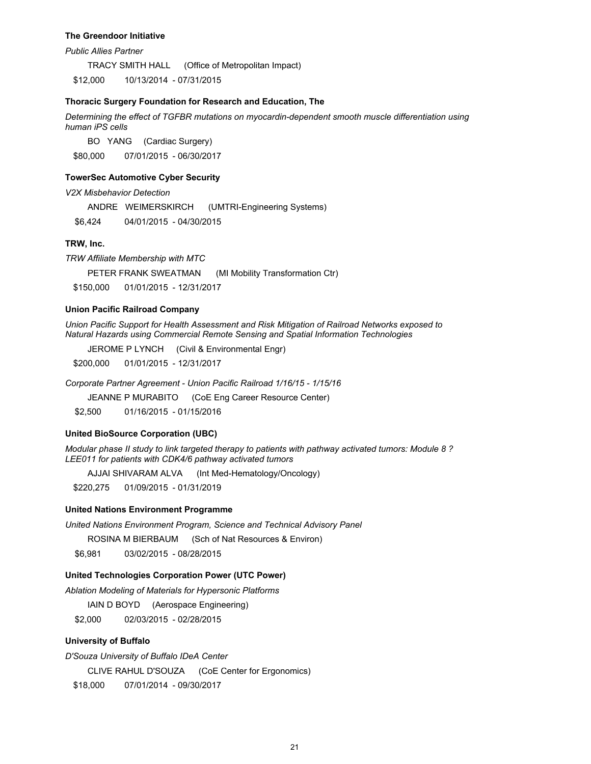#### **The Greendoor Initiative**

*Public Allies Partner*

TRACY SMITH HALL (Office of Metropolitan Impact)

\$12,000 10/13/2014 - 07/31/2015

### **Thoracic Surgery Foundation for Research and Education, The**

*Determining the effect of TGFBR mutations on myocardin-dependent smooth muscle differentiation using human iPS cells*

BO YANG (Cardiac Surgery) \$80,000 07/01/2015 - 06/30/2017

## **TowerSec Automotive Cyber Security**

*V2X Misbehavior Detection*

ANDRE WEIMERSKIRCH (UMTRI-Engineering Systems)

\$6,424 04/01/2015 - 04/30/2015

### **TRW, Inc.**

*TRW Affiliate Membership with MTC*

PETER FRANK SWEATMAN (MI Mobility Transformation Ctr) \$150,000 01/01/2015 - 12/31/2017

## **Union Pacific Railroad Company**

*Union Pacific Support for Health Assessment and Risk Mitigation of Railroad Networks exposed to Natural Hazards using Commercial Remote Sensing and Spatial Information Technologies*

JEROME P LYNCH (Civil & Environmental Engr)

\$200,000 01/01/2015 - 12/31/2017

*Corporate Partner Agreement - Union Pacific Railroad 1/16/15 - 1/15/16*

JEANNE P MURABITO (CoE Eng Career Resource Center)

\$2,500 01/16/2015 - 01/15/2016

#### **United BioSource Corporation (UBC)**

*Modular phase II study to link targeted therapy to patients with pathway activated tumors: Module 8 ? LEE011 for patients with CDK4/6 pathway activated tumors*

AJJAI SHIVARAM ALVA (Int Med-Hematology/Oncology)

\$220,275 01/09/2015 - 01/31/2019

## **United Nations Environment Programme**

*United Nations Environment Program, Science and Technical Advisory Panel*

ROSINA M BIERBAUM (Sch of Nat Resources & Environ)

\$6,981 03/02/2015 - 08/28/2015

### **United Technologies Corporation Power (UTC Power)**

*Ablation Modeling of Materials for Hypersonic Platforms*

IAIN D BOYD (Aerospace Engineering)

\$2,000 02/03/2015 - 02/28/2015

#### **University of Buffalo**

*D'Souza University of Buffalo IDeA Center*

CLIVE RAHUL D'SOUZA (CoE Center for Ergonomics)

\$18,000 07/01/2014 - 09/30/2017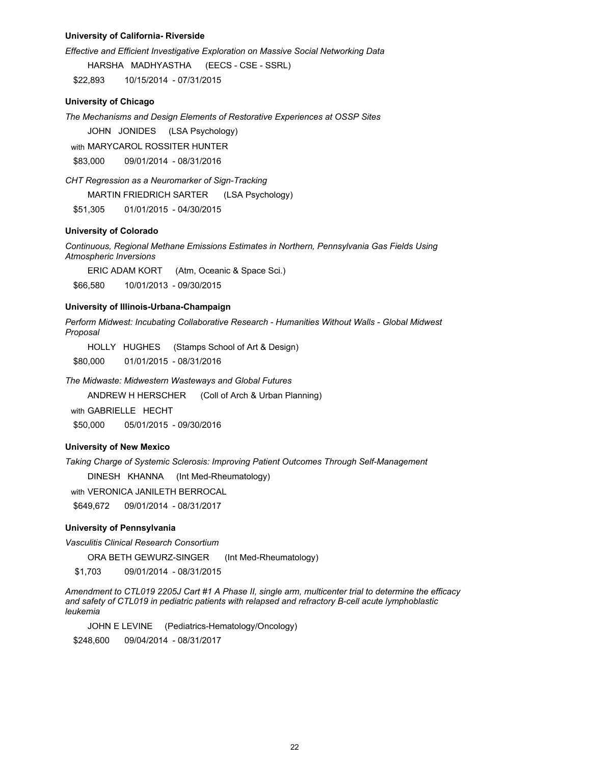### **University of California- Riverside**

*Effective and Efficient Investigative Exploration on Massive Social Networking Data* HARSHA MADHYASTHA (EECS - CSE - SSRL)

\$22,893 10/15/2014 - 07/31/2015

### **University of Chicago**

*The Mechanisms and Design Elements of Restorative Experiences at OSSP Sites*

JOHN JONIDES (LSA Psychology)

with MARYCAROL ROSSITER HUNTER \$83,000 09/01/2014 - 08/31/2016

*CHT Regression as a Neuromarker of Sign-Tracking*

MARTIN FRIEDRICH SARTER (LSA Psychology)

\$51,305 01/01/2015 - 04/30/2015

#### **University of Colorado**

*Continuous, Regional Methane Emissions Estimates in Northern, Pennsylvania Gas Fields Using Atmospheric Inversions*

ERIC ADAM KORT (Atm, Oceanic & Space Sci.)

\$66,580 10/01/2013 - 09/30/2015

## **University of Illinois-Urbana-Champaign**

*Perform Midwest: Incubating Collaborative Research - Humanities Without Walls - Global Midwest Proposal*

HOLLY HUGHES (Stamps School of Art & Design)

\$80,000 01/01/2015 - 08/31/2016

## *The Midwaste: Midwestern Wasteways and Global Futures*

ANDREW H HERSCHER (Coll of Arch & Urban Planning)

with GABRIFLLF HFCHT

\$50,000 05/01/2015 - 09/30/2016

## **University of New Mexico**

*Taking Charge of Systemic Sclerosis: Improving Patient Outcomes Through Self-Management*

DINESH KHANNA (Int Med-Rheumatology)

with VERONICA JANILETH BERROCAL

\$649,672 09/01/2014 - 08/31/2017

## **University of Pennsylvania**

*Vasculitis Clinical Research Consortium*

ORA BETH GEWURZ-SINGER (Int Med-Rheumatology)

\$1,703 09/01/2014 - 08/31/2015

*Amendment to CTL019 2205J Cart #1 A Phase II, single arm, multicenter trial to determine the efficacy and safety of CTL019 in pediatric patients with relapsed and refractory B-cell acute lymphoblastic leukemia*

JOHN E LEVINE (Pediatrics-Hematology/Oncology)

\$248,600 09/04/2014 - 08/31/2017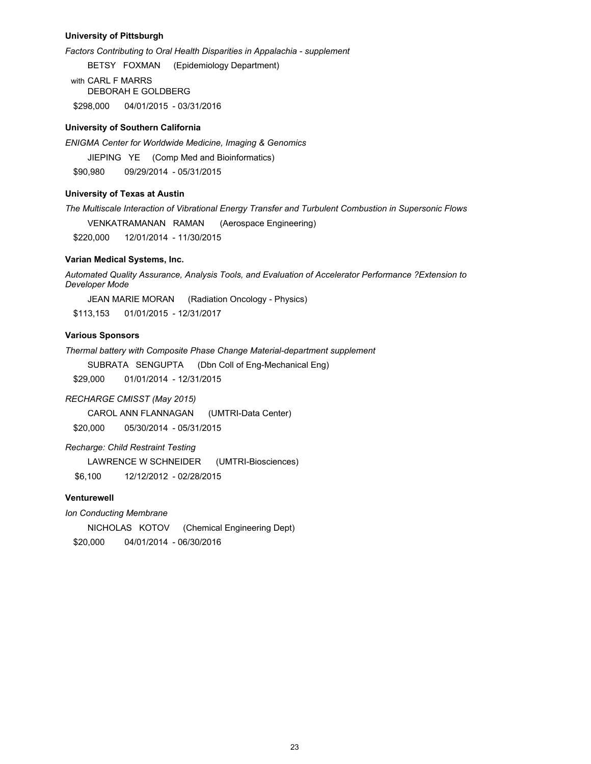## **University of Pittsburgh**

*Factors Contributing to Oral Health Disparities in Appalachia - supplement*

BETSY FOXMAN (Epidemiology Department)

with CARL F MARRS DEBORAH E GOLDBERG \$298,000 04/01/2015 - 03/31/2016

## **University of Southern California**

*ENIGMA Center for Worldwide Medicine, Imaging & Genomics* 

JIEPING YE (Comp Med and Bioinformatics)

\$90,980 09/29/2014 - 05/31/2015

## **University of Texas at Austin**

*The Multiscale Interaction of Vibrational Energy Transfer and Turbulent Combustion in Supersonic Flows*

VENKATRAMANAN RAMAN (Aerospace Engineering)

\$220,000 12/01/2014 - 11/30/2015

## **Varian Medical Systems, Inc.**

*Automated Quality Assurance, Analysis Tools, and Evaluation of Accelerator Performance ?Extension to Developer Mode*

JEAN MARIE MORAN (Radiation Oncology - Physics)

\$113,153 01/01/2015 - 12/31/2017

## **Various Sponsors**

*Thermal battery with Composite Phase Change Material-department supplement*

SUBRATA SENGUPTA (Dbn Coll of Eng-Mechanical Eng)

\$29,000 01/01/2014 - 12/31/2015

### *RECHARGE CMISST (May 2015)*

CAROL ANN FLANNAGAN (UMTRI-Data Center)

\$20,000 05/30/2014 - 05/31/2015

*Recharge: Child Restraint Testing*

LAWRENCE W SCHNEIDER (UMTRI-Biosciences)

\$6,100 12/12/2012 - 02/28/2015

## **Venturewell**

*Ion Conducting Membrane*

NICHOLAS KOTOV (Chemical Engineering Dept) \$20,000 04/01/2014 - 06/30/2016

23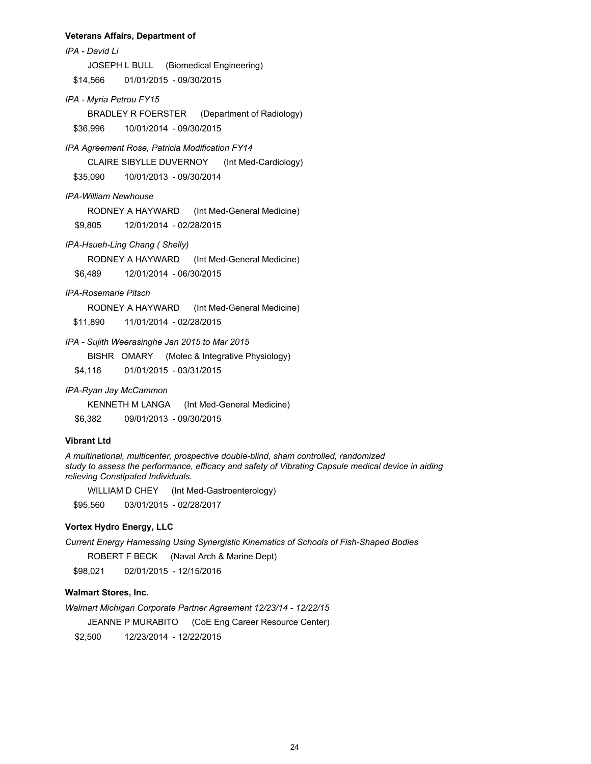### **Veterans Affairs, Department of**

*IPA - David Li* JOSEPH L BULL (Biomedical Engineering) \$14,566 01/01/2015 - 09/30/2015

*IPA - Myria Petrou FY15*

BRADLEY R FOERSTER (Department of Radiology) \$36,996 10/01/2014 - 09/30/2015

*IPA Agreement Rose, Patricia Modification FY14*

CLAIRE SIBYLLE DUVERNOY (Int Med-Cardiology)

\$35,090 10/01/2013 - 09/30/2014

*IPA-William Newhouse*

RODNEY A HAYWARD (Int Med-General Medicine)

\$9,805 12/01/2014 - 02/28/2015

*IPA-Hsueh-Ling Chang ( Shelly)*

RODNEY A HAYWARD (Int Med-General Medicine)

\$6,489 12/01/2014 - 06/30/2015

## *IPA-Rosemarie Pitsch*

RODNEY A HAYWARD (Int Med-General Medicine)

\$11,890 11/01/2014 - 02/28/2015

## *IPA - Sujith Weerasinghe Jan 2015 to Mar 2015*

BISHR OMARY (Molec & Integrative Physiology)

\$4,116 01/01/2015 - 03/31/2015

*IPA-Ryan Jay McCammon*

KENNETH M LANGA (Int Med-General Medicine)

\$6,382 09/01/2013 - 09/30/2015

## **Vibrant Ltd**

*A multinational, multicenter, prospective double-blind, sham controlled, randomized study to assess the performance, efficacy and safety of Vibrating Capsule medical device in aiding relieving Constipated Individuals.*

WILLIAM D CHEY (Int Med-Gastroenterology)

\$95,560 03/01/2015 - 02/28/2017

### **Vortex Hydro Energy, LLC**

*Current Energy Harnessing Using Synergistic Kinematics of Schools of Fish-Shaped Bodies*

ROBERT F BECK (Naval Arch & Marine Dept)

\$98,021 02/01/2015 - 12/15/2016

## **Walmart Stores, Inc.**

*Walmart Michigan Corporate Partner Agreement 12/23/14 - 12/22/15*

JEANNE P MURABITO (CoE Eng Career Resource Center)

\$2,500 12/23/2014 - 12/22/2015